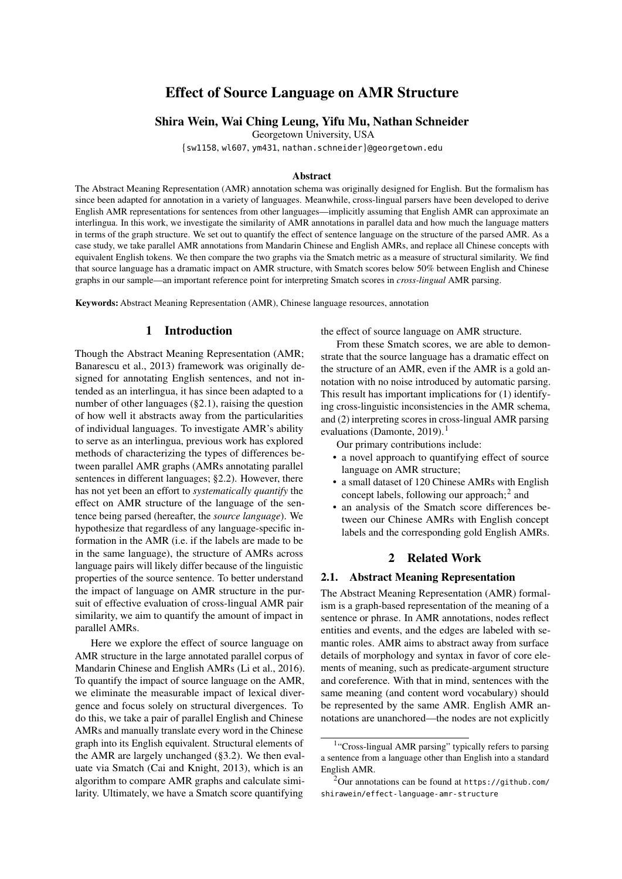# Effect of Source Language on AMR Structure

# Shira Wein, Wai Ching Leung, Yifu Mu, Nathan Schneider

Georgetown University, USA

{[sw1158](mailto:sw1158@georgetown.edu), [wl607](mailto:wl607@georgetown.edu), [ym431](mailto:ym431@georgetown.edu), [nathan.schneider](mailto:nathan.schneider@georgetown.edu)}@georgetown.edu

#### Abstract

The Abstract Meaning Representation (AMR) annotation schema was originally designed for English. But the formalism has since been adapted for annotation in a variety of languages. Meanwhile, cross-lingual parsers have been developed to derive English AMR representations for sentences from other languages—implicitly assuming that English AMR can approximate an interlingua. In this work, we investigate the similarity of AMR annotations in parallel data and how much the language matters in terms of the graph structure. We set out to quantify the effect of sentence language on the structure of the parsed AMR. As a case study, we take parallel AMR annotations from Mandarin Chinese and English AMRs, and replace all Chinese concepts with equivalent English tokens. We then compare the two graphs via the Smatch metric as a measure of structural similarity. We find that source language has a dramatic impact on AMR structure, with Smatch scores below 50% between English and Chinese graphs in our sample—an important reference point for interpreting Smatch scores in *cross-lingual* AMR parsing.

Keywords: Abstract Meaning Representation (AMR), Chinese language resources, annotation

## 1 Introduction

Though the Abstract Meaning Representation (AMR; [Banarescu et al.,](#page-4-0) [2013\)](#page-4-0) framework was originally designed for annotating English sentences, and not intended as an interlingua, it has since been adapted to a number of other languages ([§2.1\)](#page-0-0), raising the question of how well it abstracts away from the particularities of individual languages. To investigate AMR's ability to serve as an interlingua, previous work has explored methods of characterizing the types of differences between parallel AMR graphs (AMRs annotating parallel sentences in different languages; [§2.2\)](#page-1-0). However, there has not yet been an effort to *systematically quantify* the effect on AMR structure of the language of the sentence being parsed (hereafter, the *source language*). We hypothesize that regardless of any language-specific information in the AMR (i.e. if the labels are made to be in the same language), the structure of AMRs across language pairs will likely differ because of the linguistic properties of the source sentence. To better understand the impact of language on AMR structure in the pursuit of effective evaluation of cross-lingual AMR pair similarity, we aim to quantify the amount of impact in parallel AMRs.

Here we explore the effect of source language on AMR structure in the large annotated parallel corpus of Mandarin Chinese and English AMRs [\(Li et al.,](#page-4-1) [2016\)](#page-4-1). To quantify the impact of source language on the AMR, we eliminate the measurable impact of lexical divergence and focus solely on structural divergences. To do this, we take a pair of parallel English and Chinese AMRs and manually translate every word in the Chinese graph into its English equivalent. Structural elements of the AMR are largely unchanged ([§3.2\)](#page-1-1). We then evaluate via Smatch [\(Cai and Knight,](#page-4-2) [2013\)](#page-4-2), which is an algorithm to compare AMR graphs and calculate similarity. Ultimately, we have a Smatch score quantifying

the effect of source language on AMR structure.

From these Smatch scores, we are able to demonstrate that the source language has a dramatic effect on the structure of an AMR, even if the AMR is a gold annotation with no noise introduced by automatic parsing. This result has important implications for (1) identifying cross-linguistic inconsistencies in the AMR schema, and (2) interpreting scores in cross-lingual AMR parsing evaluations [\(Damonte,](#page-4-3) [2019\)](#page-4-3).<sup>[1](#page-0-1)</sup>

Our primary contributions include:

- a novel approach to quantifying effect of source language on AMR structure;
- a small dataset of 120 Chinese AMRs with English concept labels, following our approach;<sup>[2](#page-0-2)</sup> and
- an analysis of the Smatch score differences between our Chinese AMRs with English concept labels and the corresponding gold English AMRs.

# 2 Related Work

# <span id="page-0-0"></span>2.1. Abstract Meaning Representation

The Abstract Meaning Representation (AMR) formalism is a graph-based representation of the meaning of a sentence or phrase. In AMR annotations, nodes reflect entities and events, and the edges are labeled with semantic roles. AMR aims to abstract away from surface details of morphology and syntax in favor of core elements of meaning, such as predicate-argument structure and coreference. With that in mind, sentences with the same meaning (and content word vocabulary) should be represented by the same AMR. English AMR annotations are unanchored—the nodes are not explicitly

<span id="page-0-1"></span><sup>&</sup>lt;sup>1</sup>"Cross-lingual AMR parsing" typically refers to parsing a sentence from a language other than English into a standard English AMR.

<span id="page-0-2"></span> $2$ Our annotations can be found at [https://github.com/](https://github.com/shirawein/effect-language-amr-structure) [shirawein/effect-language-amr-structure](https://github.com/shirawein/effect-language-amr-structure)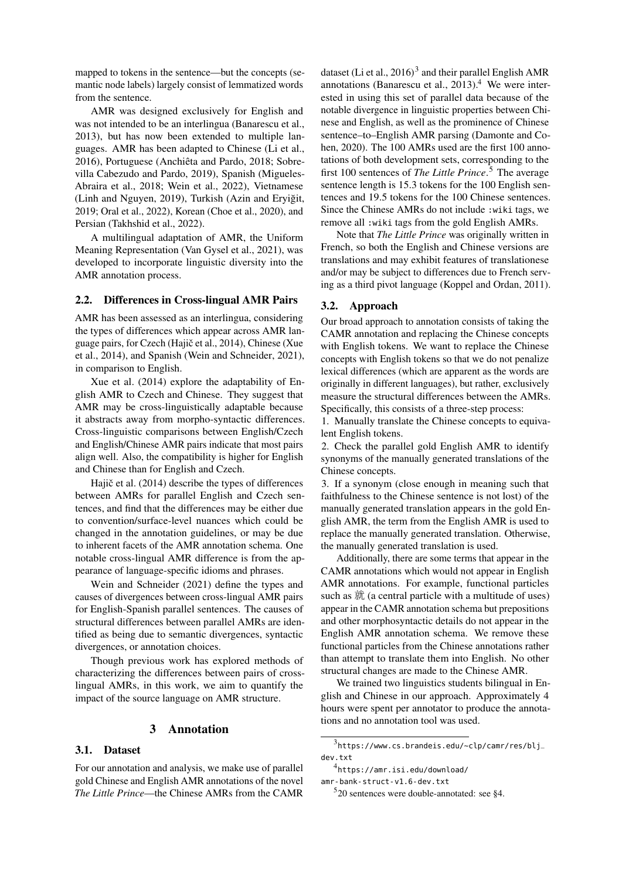mapped to tokens in the sentence—but the concepts (semantic node labels) largely consist of lemmatized words from the sentence.

AMR was designed exclusively for English and was not intended to be an interlingua [\(Banarescu et al.,](#page-4-0) [2013\)](#page-4-0), but has now been extended to multiple languages. AMR has been adapted to Chinese [\(Li et al.,](#page-4-1) [2016\)](#page-4-1), Portuguese [\(Anchiêta and Pardo,](#page-4-4) [2018;](#page-4-4) [Sobre](#page-4-5)[villa Cabezudo and Pardo,](#page-4-5) [2019\)](#page-4-5), Spanish [\(Migueles-](#page-4-6)[Abraira et al.,](#page-4-6) [2018;](#page-4-6) [Wein et al.,](#page-5-0) [2022\)](#page-5-0), Vietnamese [\(Linh and Nguyen,](#page-4-7) [2019\)](#page-4-7), Turkish (Azin and Eryiğit, [2019;](#page-4-8) [Oral et al.,](#page-4-9) [2022\)](#page-4-9), Korean [\(Choe et al.,](#page-4-10) [2020\)](#page-4-10), and Persian [\(Takhshid et al.,](#page-4-11) [2022\)](#page-4-11).

A multilingual adaptation of AMR, the Uniform Meaning Representation [\(Van Gysel et al.,](#page-5-1) [2021\)](#page-5-1), was developed to incorporate linguistic diversity into the AMR annotation process.

## <span id="page-1-0"></span>2.2. Differences in Cross-lingual AMR Pairs

AMR has been assessed as an interlingua, considering the types of differences which appear across AMR lan-guage pairs, for Czech (Hajič et al., [2014\)](#page-4-12), Chinese [\(Xue](#page-5-2)) [et al.,](#page-5-2) [2014\)](#page-5-2), and Spanish [\(Wein and Schneider,](#page-5-3) [2021\)](#page-5-3), in comparison to English.

[Xue et al.](#page-5-2) [\(2014\)](#page-5-2) explore the adaptability of English AMR to Czech and Chinese. They suggest that AMR may be cross-linguistically adaptable because it abstracts away from morpho-syntactic differences. Cross-linguistic comparisons between English/Czech and English/Chinese AMR pairs indicate that most pairs align well. Also, the compatibility is higher for English and Chinese than for English and Czech.

Hajič et al.  $(2014)$  describe the types of differences between AMRs for parallel English and Czech sentences, and find that the differences may be either due to convention/surface-level nuances which could be changed in the annotation guidelines, or may be due to inherent facets of the AMR annotation schema. One notable cross-lingual AMR difference is from the appearance of language-specific idioms and phrases.

[Wein and Schneider](#page-5-3) [\(2021\)](#page-5-3) define the types and causes of divergences between cross-lingual AMR pairs for English-Spanish parallel sentences. The causes of structural differences between parallel AMRs are identified as being due to semantic divergences, syntactic divergences, or annotation choices.

Though previous work has explored methods of characterizing the differences between pairs of crosslingual AMRs, in this work, we aim to quantify the impact of the source language on AMR structure.

#### 3 Annotation

# 3.1. Dataset

For our annotation and analysis, we make use of parallel gold Chinese and English AMR annotations of the novel *The Little Prince*—the Chinese AMRs from the CAMR

dataset [\(Li et al.,](#page-4-1)  $2016$ )<sup>[3](#page-1-2)</sup> and their parallel English AMR annotations [\(Banarescu et al.,](#page-4-0)  $2013$ ).<sup>[4](#page-1-3)</sup> We were interested in using this set of parallel data because of the notable divergence in linguistic properties between Chinese and English, as well as the prominence of Chinese sentence–to–English AMR parsing [\(Damonte and Co](#page-4-13)[hen,](#page-4-13) [2020\)](#page-4-13). The 100 AMRs used are the first 100 annotations of both development sets, corresponding to the first 100 sentences of *The Little Prince*. [5](#page-1-4) The average sentence length is 15.3 tokens for the 100 English sentences and 19.5 tokens for the 100 Chinese sentences. Since the Chinese AMRs do not include :wiki tags, we remove all :wiki tags from the gold English AMRs.

Note that *The Little Prince* was originally written in French, so both the English and Chinese versions are translations and may exhibit features of translationese and/or may be subject to differences due to French serving as a third pivot language [\(Koppel and Ordan,](#page-4-14) [2011\)](#page-4-14).

#### <span id="page-1-1"></span>3.2. Approach

Our broad approach to annotation consists of taking the CAMR annotation and replacing the Chinese concepts with English tokens. We want to replace the Chinese concepts with English tokens so that we do not penalize lexical differences (which are apparent as the words are originally in different languages), but rather, exclusively measure the structural differences between the AMRs. Specifically, this consists of a three-step process:

1. Manually translate the Chinese concepts to equivalent English tokens.

2. Check the parallel gold English AMR to identify synonyms of the manually generated translations of the Chinese concepts.

3. If a synonym (close enough in meaning such that faithfulness to the Chinese sentence is not lost) of the manually generated translation appears in the gold English AMR, the term from the English AMR is used to replace the manually generated translation. Otherwise, the manually generated translation is used.

Additionally, there are some terms that appear in the CAMR annotations which would not appear in English AMR annotations. For example, functional particles such as  $\ddot{\mathcal{R}}$  (a central particle with a multitude of uses) appear in the CAMR annotation schema but prepositions and other morphosyntactic details do not appear in the English AMR annotation schema. We remove these functional particles from the Chinese annotations rather than attempt to translate them into English. No other structural changes are made to the Chinese AMR.

We trained two linguistics students bilingual in English and Chinese in our approach. Approximately 4 hours were spent per annotator to produce the annotations and no annotation tool was used.

<span id="page-1-5"></span><span id="page-1-2"></span> $^3$ [https://www.cs.brandeis.edu/~clp/camr/res/blj\\_](https://www.cs.brandeis.edu/~clp/camr/res/blj_dev.txt) [dev.txt](https://www.cs.brandeis.edu/~clp/camr/res/blj_dev.txt)

<span id="page-1-3"></span><sup>4</sup> [https://amr.isi.edu/download/](https://amr.isi.edu/download/amr-bank-struct-v1.6-dev.txt)

[amr-bank-struct-v1.6-dev.txt](https://amr.isi.edu/download/amr-bank-struct-v1.6-dev.txt)

<span id="page-1-4"></span><sup>5</sup> 20 sentences were double-annotated: see [§4.](#page-1-5)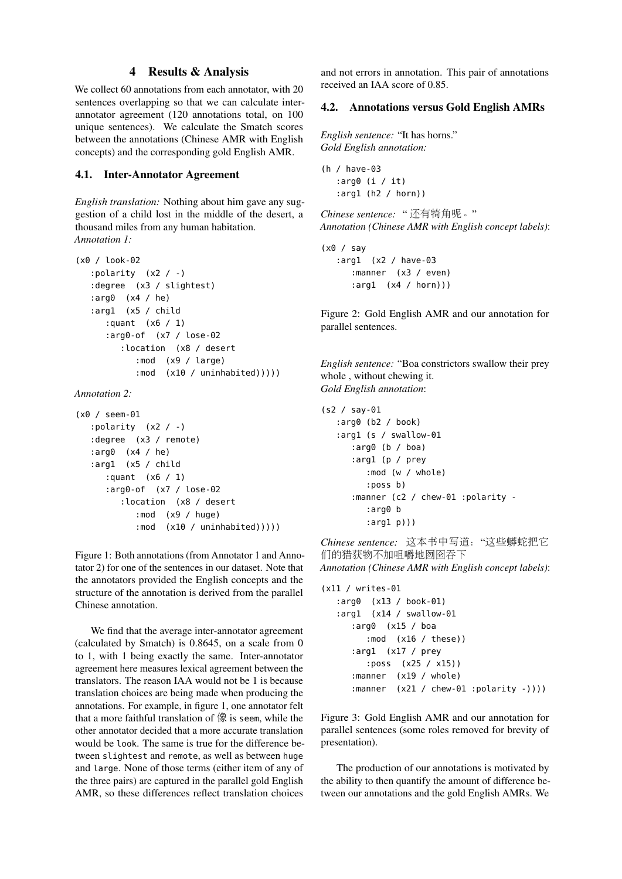# 4 Results & Analysis

We collect 60 annotations from each annotator, with 20 sentences overlapping so that we can calculate interannotator agreement (120 annotations total, on 100 unique sentences). We calculate the Smatch scores between the annotations (Chinese AMR with English concepts) and the corresponding gold English AMR.

#### 4.1. Inter-Annotator Agreement

<span id="page-2-0"></span>*English translation:* Nothing about him gave any suggestion of a child lost in the middle of the desert, a thousand miles from any human habitation. *Annotation 1:*

```
(x0 / look-02
 :polarity (x2 / -)
 :degree (x3 / slightest)
 :arg0 (x4 / he)
:arg1 (x5 / child
   :quant (x6 / 1)
    :arg0-of (x7 / lose-02
      :location (x8 / desert
         :mod (x9 / large)
         :mod (x10 / uninhabited)))))
```
*Annotation 2:*

```
(x0 / seem-01
 :polarity (x2 / -)
 :degree (x3 / remote)
:arg0 (x4 / he)
:arg1 (x5 / child
   :quant (x6 / 1)
   :arg0-of (x7 / lose-02
      :location (x8 / desert
         :mod (x9 / huge)
         :mod (x10 / uninhabited))))
```
Figure 1: Both annotations (from Annotator 1 and Annotator 2) for one of the sentences in our dataset. Note that the annotators provided the English concepts and the structure of the annotation is derived from the parallel Chinese annotation.

We find that the average inter-annotator agreement (calculated by Smatch) is 0.8645, on a scale from 0 to 1, with 1 being exactly the same. Inter-annotator agreement here measures lexical agreement between the translators. The reason IAA would not be 1 is because translation choices are being made when producing the annotations. For example, in figure [1,](#page-2-0) one annotator felt that a more faithful translation of 像 is seem, while the other annotator decided that a more accurate translation would be look. The same is true for the difference between slightest and remote, as well as between huge and large. None of those terms (either item of any of the three pairs) are captured in the parallel gold English AMR, so these differences reflect translation choices

and not errors in annotation. This pair of annotations received an IAA score of 0.85.

# 4.2. Annotations versus Gold English AMRs

<span id="page-2-1"></span>*English sentence:* "It has horns." *Gold English annotation:*

(h / have-03 :arg0 (i / it) :arg1 (h2 / horn))

*Chinese sentence:* " <sup>还</sup>有犄角呢。" *Annotation (Chinese AMR with English concept labels)*:

 $(x0 / sav)$ :arg1 (x2 / have-03 :manner (x3 / even) :arg1 (x4 / horn)))

Figure 2: Gold English AMR and our annotation for parallel sentences.

<span id="page-2-2"></span>*English sentence:* "Boa constrictors swallow their prey whole , without chewing it. *Gold English annotation*:

```
(s2 / say-01
 :arg0 (b2 / book)
 :arg1 (s / swallow-01
    :arg0 (b / boa)
    :arg1 (p / prey
       :mod (w / whole)
       :poss b)
    :manner (c2 / chew-01 :polarity -
       :arg0 b
       :arg1 p)))
```
*Chinese sentence:* <sup>这</sup>本书中写道:"这些蟒蛇把<sup>它</sup> <sup>们</sup>的猎获物不加咀嚼地囫囵吞<sup>下</sup>

*Annotation (Chinese AMR with English concept labels)*:

```
(x11 / writes-01
:arg0 (x13 / book-01)
:arg1 (x14 / swallow-01
   :arg0 (x15 / boa
      :mod (x16 / these))
   :arg1 (x17 / prey
      :poss (x25 / x15))
   :manner (x19 / whole)
   :manner (x21 / chew-01 :polarity -))))
```
Figure 3: Gold English AMR and our annotation for parallel sentences (some roles removed for brevity of presentation).

The production of our annotations is motivated by the ability to then quantify the amount of difference between our annotations and the gold English AMRs. We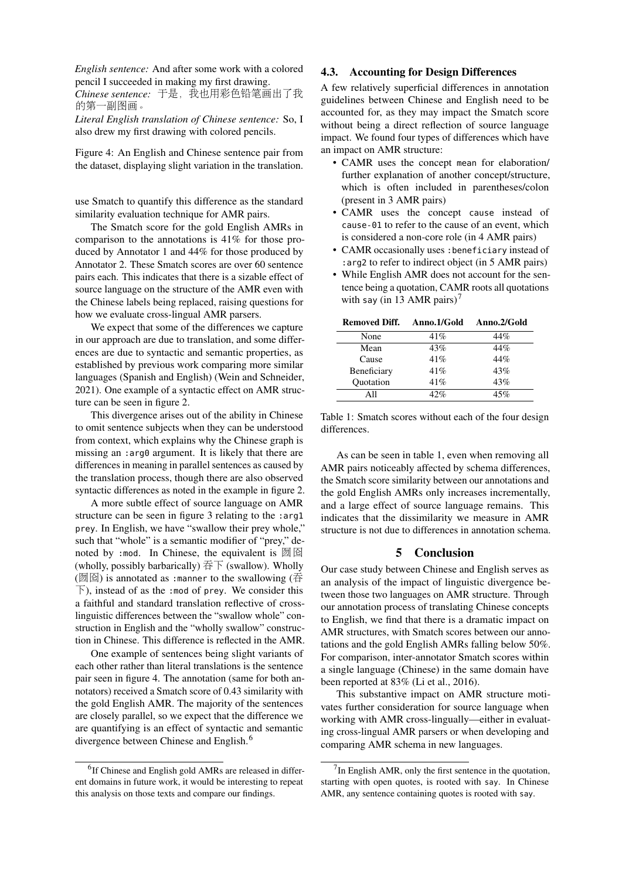<span id="page-3-0"></span>*English sentence:* And after some work with a colored pencil I succeeded in making my first drawing.

*Chinese sentence:* <sup>于</sup>是,我也用彩色铅笔画出了我 <sup>的</sup>第一副图画。

*Literal English translation of Chinese sentence:* So, I also drew my first drawing with colored pencils.

Figure 4: An English and Chinese sentence pair from the dataset, displaying slight variation in the translation.

use Smatch to quantify this difference as the standard similarity evaluation technique for AMR pairs.

The Smatch score for the gold English AMRs in comparison to the annotations is 41% for those produced by Annotator 1 and 44% for those produced by Annotator 2. These Smatch scores are over 60 sentence pairs each. This indicates that there is a sizable effect of source language on the structure of the AMR even with the Chinese labels being replaced, raising questions for how we evaluate cross-lingual AMR parsers.

We expect that some of the differences we capture in our approach are due to translation, and some differences are due to syntactic and semantic properties, as established by previous work comparing more similar languages (Spanish and English) [\(Wein and Schneider,](#page-5-3) [2021\)](#page-5-3). One example of a syntactic effect on AMR structure can be seen in figure [2.](#page-2-1)

This divergence arises out of the ability in Chinese to omit sentence subjects when they can be understood from context, which explains why the Chinese graph is missing an :arg0 argument. It is likely that there are differences in meaning in parallel sentences as caused by the translation process, though there are also observed syntactic differences as noted in the example in figure [2.](#page-2-1)

A more subtle effect of source language on AMR structure can be seen in figure [3](#page-2-2) relating to the :arg1 prey. In English, we have "swallow their prey whole," such that "whole" is a semantic modifier of "prey," denoted by : mod. In Chinese, the equivalent is  $\mathbb{Z}$ (wholly, possibly barbarically)  $\overline{F}$  (swallow). Wholly ( $\text{M}\boxtimes$ ) is annotated as :manner to the swallowing ( $\overline{\text{A}}$ )  $\overline{\mathcal{F}}$ ), instead of as the :mod of prey. We consider this a faithful and standard translation reflective of crosslinguistic differences between the "swallow whole" construction in English and the "wholly swallow" construction in Chinese. This difference is reflected in the AMR.

One example of sentences being slight variants of each other rather than literal translations is the sentence pair seen in figure [4.](#page-3-0) The annotation (same for both annotators) received a Smatch score of 0.43 similarity with the gold English AMR. The majority of the sentences are closely parallel, so we expect that the difference we are quantifying is an effect of syntactic and semantic divergence between Chinese and English.<sup>[6](#page-3-1)</sup>

#### 4.3. Accounting for Design Differences

A few relatively superficial differences in annotation guidelines between Chinese and English need to be accounted for, as they may impact the Smatch score without being a direct reflection of source language impact. We found four types of differences which have an impact on AMR structure:

- CAMR uses the concept mean for elaboration/ further explanation of another concept/structure, which is often included in parentheses/colon (present in 3 AMR pairs)
- CAMR uses the concept cause instead of cause-01 to refer to the cause of an event, which is considered a non-core role (in 4 AMR pairs)
- CAMR occasionally uses :beneficiary instead of :arg2 to refer to indirect object (in 5 AMR pairs)
- While English AMR does not account for the sentence being a quotation, CAMR roots all quotations with say (in 13 AMR pairs)<sup>[7](#page-3-2)</sup>

<span id="page-3-3"></span>

| <b>Removed Diff.</b> | Anno.1/Gold | Anno.2/Gold |
|----------------------|-------------|-------------|
| None                 | 41%         | 44%         |
| Mean                 | 43%         | 44%         |
| Cause                | 41%         | 44%         |
| Beneficiary          | 41%         | 43%         |
| Quotation            | 41%         | 43%         |
| A 11                 | 19ሜ         | 45%         |

Table 1: Smatch scores without each of the four design differences.

As can be seen in table [1,](#page-3-3) even when removing all AMR pairs noticeably affected by schema differences, the Smatch score similarity between our annotations and the gold English AMRs only increases incrementally, and a large effect of source language remains. This indicates that the dissimilarity we measure in AMR structure is not due to differences in annotation schema.

#### 5 Conclusion

Our case study between Chinese and English serves as an analysis of the impact of linguistic divergence between those two languages on AMR structure. Through our annotation process of translating Chinese concepts to English, we find that there is a dramatic impact on AMR structures, with Smatch scores between our annotations and the gold English AMRs falling below 50%. For comparison, inter-annotator Smatch scores within a single language (Chinese) in the same domain have been reported at 83% [\(Li et al.,](#page-4-1) [2016\)](#page-4-1).

This substantive impact on AMR structure motivates further consideration for source language when working with AMR cross-lingually—either in evaluating cross-lingual AMR parsers or when developing and comparing AMR schema in new languages.

<span id="page-3-1"></span><sup>&</sup>lt;sup>6</sup>If Chinese and English gold AMRs are released in different domains in future work, it would be interesting to repeat this analysis on those texts and compare our findings.

<span id="page-3-2"></span> $<sup>7</sup>$  In English AMR, only the first sentence in the quotation,</sup> starting with open quotes, is rooted with say. In Chinese AMR, any sentence containing quotes is rooted with say.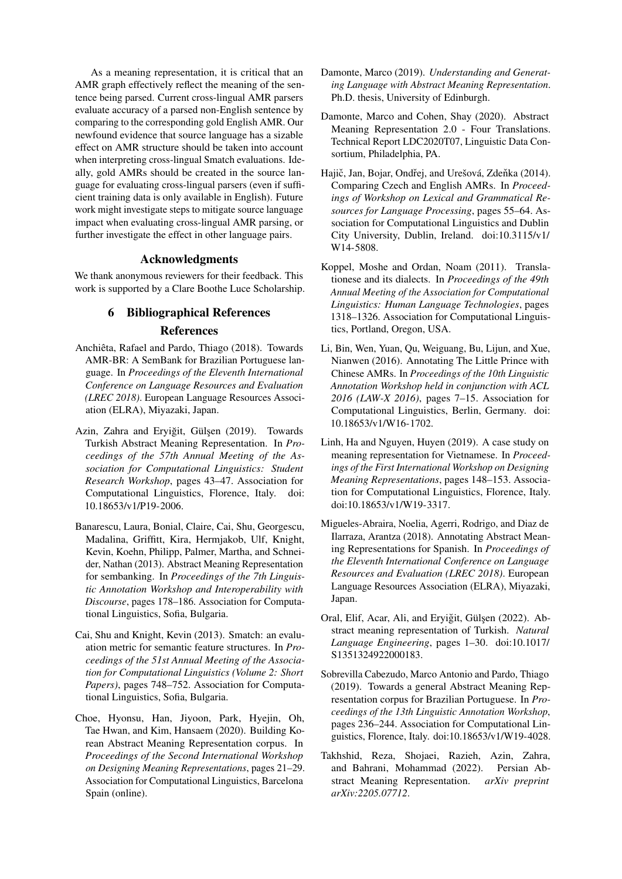As a meaning representation, it is critical that an AMR graph effectively reflect the meaning of the sentence being parsed. Current cross-lingual AMR parsers evaluate accuracy of a parsed non-English sentence by comparing to the corresponding gold English AMR. Our newfound evidence that source language has a sizable effect on AMR structure should be taken into account when interpreting cross-lingual Smatch evaluations. Ideally, gold AMRs should be created in the source language for evaluating cross-lingual parsers (even if sufficient training data is only available in English). Future work might investigate steps to mitigate source language impact when evaluating cross-lingual AMR parsing, or further investigate the effect in other language pairs.

# Acknowledgments

We thank anonymous reviewers for their feedback. This work is supported by a Clare Boothe Luce Scholarship.

# 6 Bibliographical References References

- <span id="page-4-4"></span>Anchiêta, Rafael and Pardo, Thiago (2018). Towards AMR-BR: A SemBank for Brazilian Portuguese language. In *Proceedings of the Eleventh International Conference on Language Resources and Evaluation (LREC 2018)*. European Language Resources Association (ELRA), Miyazaki, Japan.
- <span id="page-4-8"></span>Azin, Zahra and Eryiğit, Gülşen (2019). Towards Turkish Abstract Meaning Representation. In *Proceedings of the 57th Annual Meeting of the Association for Computational Linguistics: Student Research Workshop*, pages 43–47. Association for Computational Linguistics, Florence, Italy. doi: 10.18653/v1/P19-2006.
- <span id="page-4-0"></span>Banarescu, Laura, Bonial, Claire, Cai, Shu, Georgescu, Madalina, Griffitt, Kira, Hermjakob, Ulf, Knight, Kevin, Koehn, Philipp, Palmer, Martha, and Schneider, Nathan (2013). Abstract Meaning Representation for sembanking. In *Proceedings of the 7th Linguistic Annotation Workshop and Interoperability with Discourse*, pages 178–186. Association for Computational Linguistics, Sofia, Bulgaria.
- <span id="page-4-2"></span>Cai, Shu and Knight, Kevin (2013). Smatch: an evaluation metric for semantic feature structures. In *Proceedings of the 51st Annual Meeting of the Association for Computational Linguistics (Volume 2: Short Papers)*, pages 748–752. Association for Computational Linguistics, Sofia, Bulgaria.
- <span id="page-4-10"></span>Choe, Hyonsu, Han, Jiyoon, Park, Hyejin, Oh, Tae Hwan, and Kim, Hansaem (2020). Building Korean Abstract Meaning Representation corpus. In *Proceedings of the Second International Workshop on Designing Meaning Representations*, pages 21–29. Association for Computational Linguistics, Barcelona Spain (online).
- <span id="page-4-3"></span>Damonte, Marco (2019). *Understanding and Generating Language with Abstract Meaning Representation*. Ph.D. thesis, University of Edinburgh.
- <span id="page-4-13"></span>Damonte, Marco and Cohen, Shay (2020). Abstract Meaning Representation 2.0 - Four Translations. Technical Report LDC2020T07, Linguistic Data Consortium, Philadelphia, PA.
- <span id="page-4-12"></span>Hajič, Jan, Bojar, Ondřej, and Urešová, Zdeňka (2014). Comparing Czech and English AMRs. In *Proceedings of Workshop on Lexical and Grammatical Resources for Language Processing*, pages 55–64. Association for Computational Linguistics and Dublin City University, Dublin, Ireland. doi:10.3115/v1/ W14-5808.
- <span id="page-4-14"></span>Koppel, Moshe and Ordan, Noam (2011). Translationese and its dialects. In *Proceedings of the 49th Annual Meeting of the Association for Computational Linguistics: Human Language Technologies*, pages 1318–1326. Association for Computational Linguistics, Portland, Oregon, USA.
- <span id="page-4-1"></span>Li, Bin, Wen, Yuan, Qu, Weiguang, Bu, Lijun, and Xue, Nianwen (2016). Annotating The Little Prince with Chinese AMRs. In *Proceedings of the 10th Linguistic Annotation Workshop held in conjunction with ACL 2016 (LAW-X 2016)*, pages 7–15. Association for Computational Linguistics, Berlin, Germany. doi: 10.18653/v1/W16-1702.
- <span id="page-4-7"></span>Linh, Ha and Nguyen, Huyen (2019). A case study on meaning representation for Vietnamese. In *Proceedings of the First International Workshop on Designing Meaning Representations*, pages 148–153. Association for Computational Linguistics, Florence, Italy. doi:10.18653/v1/W19-3317.
- <span id="page-4-6"></span>Migueles-Abraira, Noelia, Agerri, Rodrigo, and Diaz de Ilarraza, Arantza (2018). Annotating Abstract Meaning Representations for Spanish. In *Proceedings of the Eleventh International Conference on Language Resources and Evaluation (LREC 2018)*. European Language Resources Association (ELRA), Miyazaki, Japan.
- <span id="page-4-9"></span>Oral, Elif, Acar, Ali, and Eryiğit, Gülşen (2022). Abstract meaning representation of Turkish. *Natural Language Engineering*, pages 1–30. doi:10.1017/ S1351324922000183.
- <span id="page-4-5"></span>Sobrevilla Cabezudo, Marco Antonio and Pardo, Thiago (2019). Towards a general Abstract Meaning Representation corpus for Brazilian Portuguese. In *Proceedings of the 13th Linguistic Annotation Workshop*, pages 236–244. Association for Computational Linguistics, Florence, Italy. doi:10.18653/v1/W19-4028.
- <span id="page-4-11"></span>Takhshid, Reza, Shojaei, Razieh, Azin, Zahra, and Bahrani, Mohammad (2022). Persian Abstract Meaning Representation. *arXiv preprint arXiv:2205.07712*.